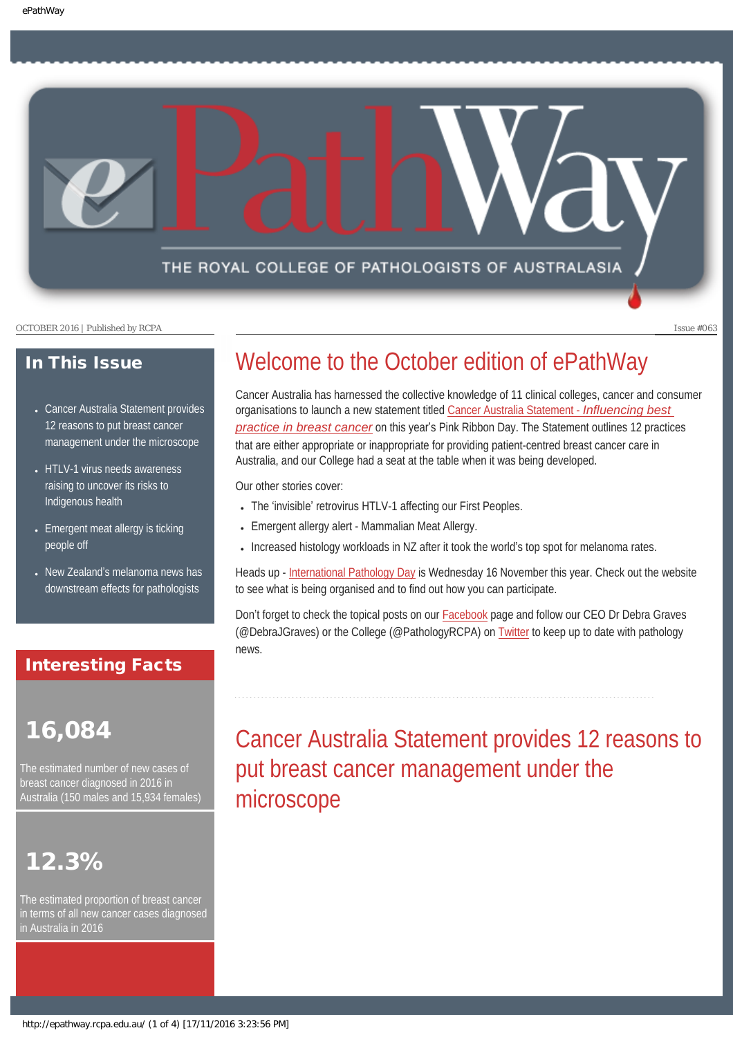THE ROYAL COLLEGE OF PATHOLOGISTS OF AUSTRALASIA

OCTOBER 2016 | Published by RCPA Issue #063

### In This Issue

- Cancer Australia Statement provides [12 reasons to put breast cancer](#page-0-0) [management under the microscope](#page-0-0)
- [HTLV-1 virus needs awareness](#page-1-0) [raising to uncover its risks to](#page-1-0)  [Indigenous health](#page-1-0)
- [Emergent meat allergy is ticking](#page-2-0) [people off](#page-2-0)
- New Zealand'[s melanoma news has](#page-2-1) [downstream effects for pathologists](#page-2-1)

### Interesting Facts

# <span id="page-0-0"></span>16,084

The estimated number of new cases of breast cancer diagnosed in 2016 in Australia (150 males and 15,934 females)

# 12.3%

The estimated proportion of breast cancer in terms of all new cancer cases diagnosed in Australia in 2016

# Welcome to the October edition of ePathWay

Cancer Australia has harnessed the collective knowledge of 11 clinical colleges, cancer and consumer organisations to launch a new statement titled [Cancer Australia Statement -](https://thestatement.canceraustralia.gov.au/) *Influencing best [practice in breast cancer](https://thestatement.canceraustralia.gov.au/)* on this year's Pink Ribbon Day. The Statement outlines 12 practices that are either appropriate or inappropriate for providing patient-centred breast cancer care in Australia, and our College had a seat at the table when it was being developed.

Our other stories cover:

- The 'invisible' retrovirus HTLV-1 affecting our First Peoples.
- Emergent allergy alert Mammalian Meat Allergy.
- Increased histology workloads in NZ after it took the world's top spot for melanoma rates.

Heads up - [International Pathology Day](http://www.rcpa.edu.au/Home/Pathology-Day) is Wednesday 16 November this year. Check out the website to see what is being organised and to find out how you can participate.

Don't forget to check the topical posts on our [Facebook](https://www.facebook.com/TheRoyalCollegeOfPathologistsOfAustralasia/) page and follow our CEO Dr Debra Graves (@DebraJGraves) or the College (@PathologyRCPA) on [Twitter](https://twitter.com/pathologyrcpa) to keep up to date with pathology news.

# Cancer Australia Statement provides 12 reasons to put breast cancer management under the microscope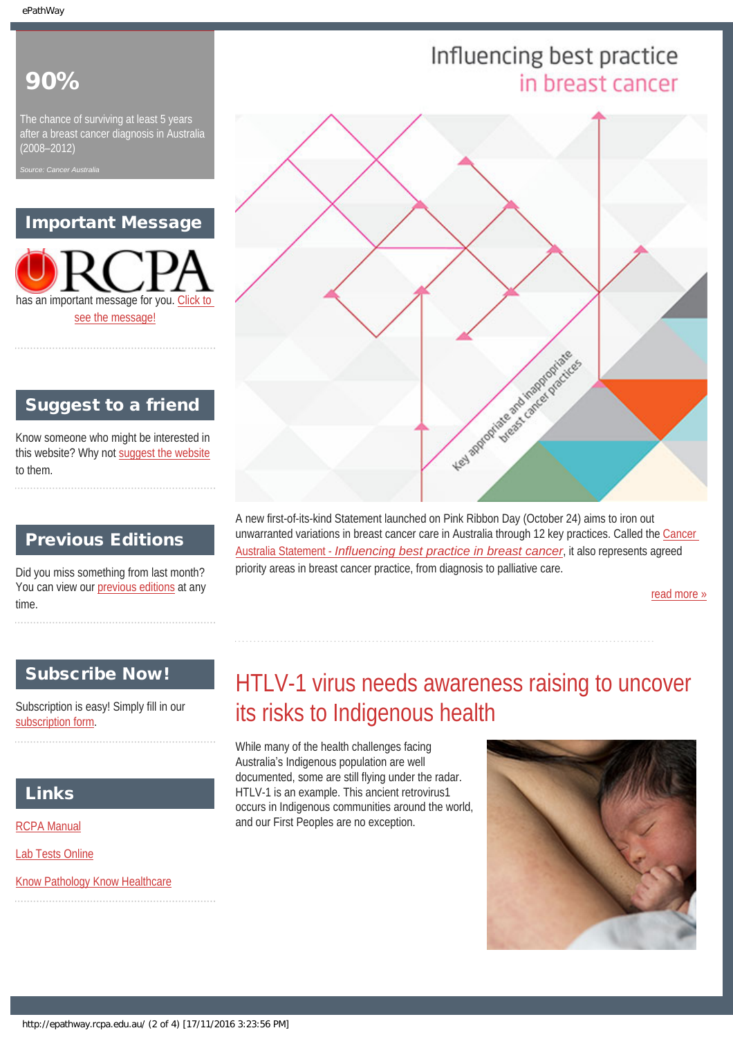# 90%

The chance of surviving at least 5 years after a breast cancer diagnosis in Australia (2008–2012)

*Source: Cancer Australia*

# Important Message

has an important message for you. [Click to](#page-4-0)  [see the message!](#page-4-0)

# Suggest to a friend

Know someone who might be interested in this website? Why not [suggest the website](mailto:?Subject=I%20think%20you%20should%20read%20this%20Newsletter=
http://epathway.rcpa.edu.au/index.html) to them.

# Previous Editions

Did you miss something from last month? You can view our [previous editions](#page-5-0) at any time.

### <span id="page-1-0"></span>Subscribe Now!

Subscription is easy! Simply fill in our [subscription form](#page-7-0).

# Links

[RCPA Manual](http://rcpamanual.edu.au/)

[Lab Tests Online](http://www.labtestsonline.org.au/)

[Know Pathology Know Healthcare](http://knowpathology.com.au/)

### A new first-of-its-kind Statement launched on Pink Ribbon Day (October 24) aims to iron out unwarranted variations in breast cancer care in Australia through 12 key practices. Called the [Cancer](https://thestatement.canceraustralia.gov.au/) Australia Statement - *[Influencing best practice in breast cancer](https://thestatement.canceraustralia.gov.au/)*, it also represents agreed priority areas in breast cancer practice, from diagnosis to palliative care.

[read more »](#page-8-0)

# HTLV-1 virus needs awareness raising to uncover its risks to Indigenous health

While many of the health challenges facing Australia's Indigenous population are well documented, some are still flying under the radar. HTLV-1 is an example. This ancient retrovirus1 occurs in Indigenous communities around the world, and our First Peoples are no exception.



# Influencing best practice in breast cancer



http://epathway.rcpa.edu.au/ (2 of 4) [17/11/2016 3:23:56 PM]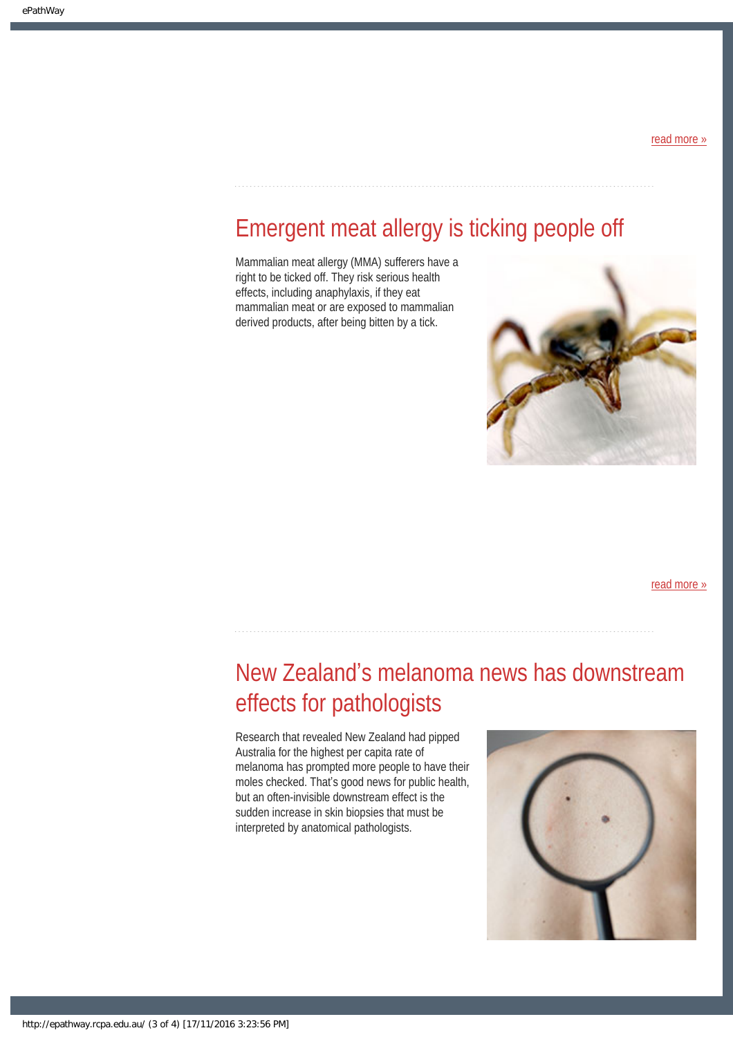### [read more »](#page-10-0)

# <span id="page-2-0"></span>Emergent meat allergy is ticking people off

Mammalian meat allergy (MMA) sufferers have a right to be ticked off. They risk serious health effects, including anaphylaxis, if they eat mammalian meat or are exposed to mammalian derived products, after being bitten by a tick.



[read more »](#page-12-0)

# <span id="page-2-1"></span>New Zealand's melanoma news has downstream effects for pathologists

Research that revealed New Zealand had pipped Australia for the highest per capita rate of melanoma has prompted more people to have their moles checked. That's good news for public health, but an often-invisible downstream effect is the sudden increase in skin biopsies that must be interpreted by anatomical pathologists.

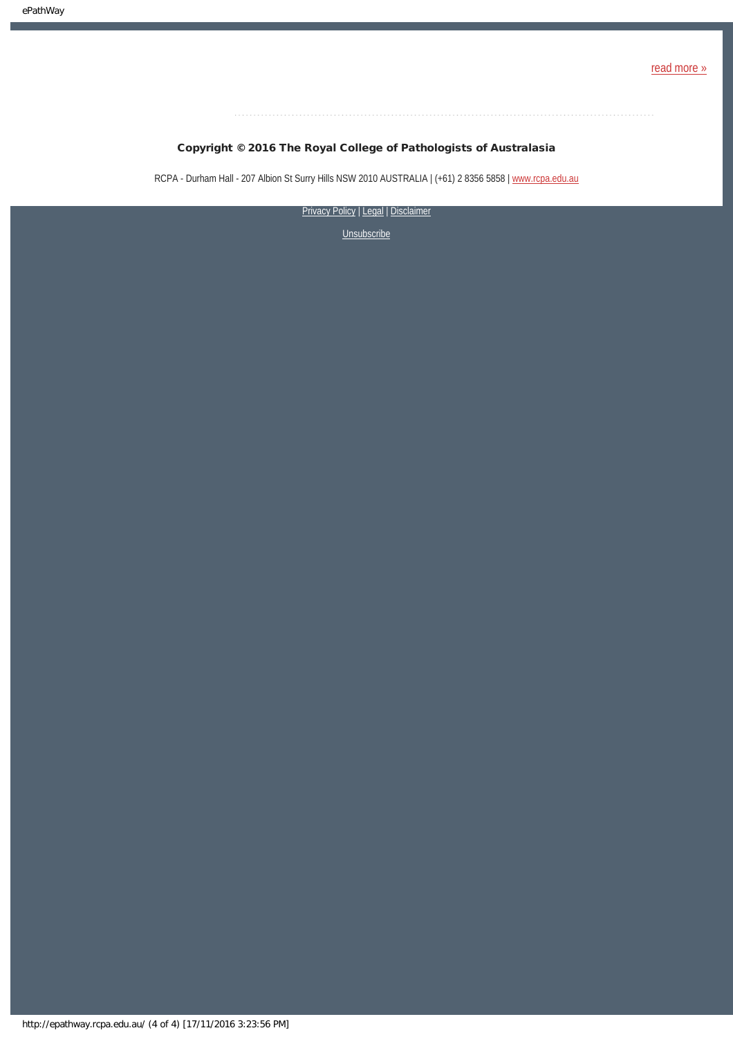### Copyright © 2016 The Royal College of Pathologists of Australasia

RCPA - Durham Hall - 207 Albion St Surry Hills NSW 2010 AUSTRALIA | (+61) 2 8356 5858 | [www.rcpa.edu.au](https://www.rcpa.edu.au/)

[Privacy Policy](https://www.rcpa.edu.au/Privacy-Policy.aspx) | [Legal](https://www.rcpa.edu.au/Legal.aspx) | Disclaimer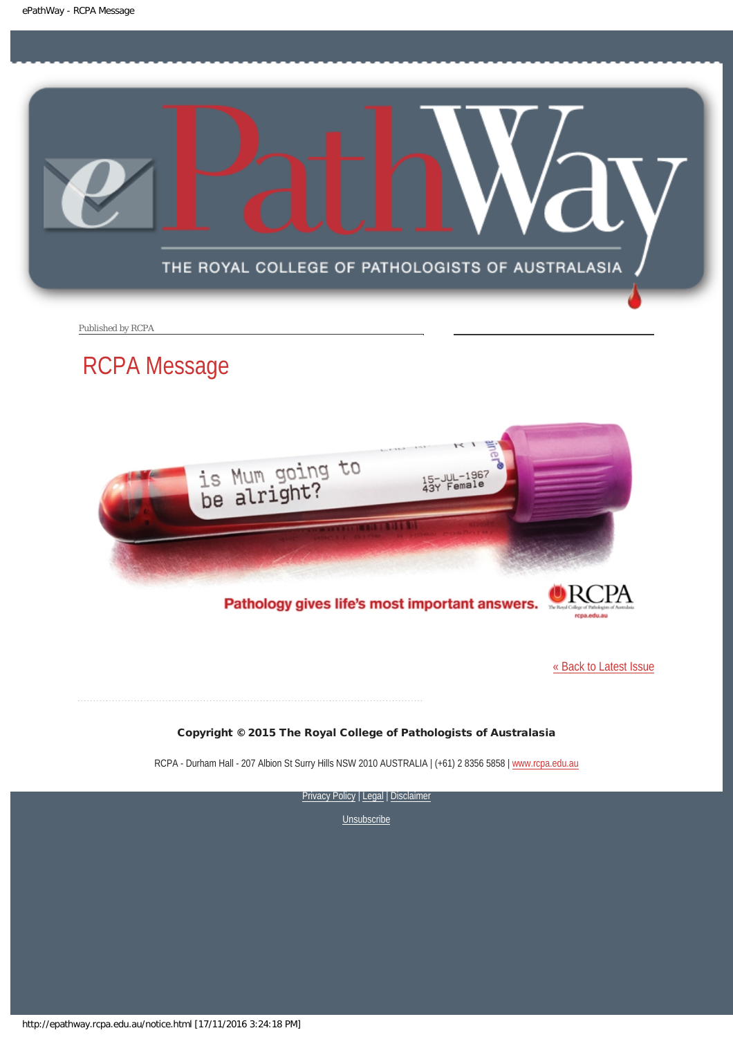<span id="page-4-0"></span>

Published by RCPA

# RCPA Message



Pathology gives life's most important answers.

[« Back to Latest Issue](http://epathway.rcpa.edu.au/index.html)

### Copyright © 2015 The Royal College of Pathologists of Australasia

RCPA - Durham Hall - 207 Albion St Surry Hills NSW 2010 AUSTRALIA | (+61) 2 8356 5858 | [www.rcpa.edu.au](https://www.rcpa.edu.au/)

[Privacy Policy](https://www.rcpa.edu.au/Content-Library/Privacy.aspx) | [Legal](https://www.rcpa.edu.au/Legal.aspx) | Disclaimer

**[Unsubscribe](#page-7-0)** 

http://epathway.rcpa.edu.au/notice.html [17/11/2016 3:24:18 PM]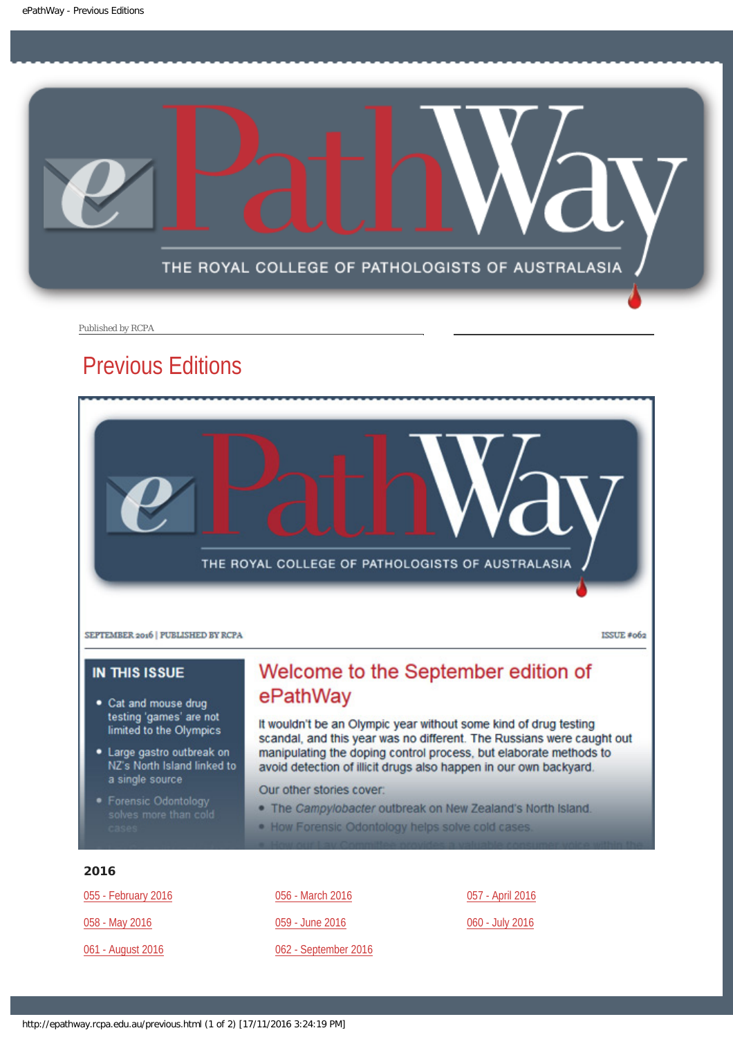<span id="page-5-0"></span>

Published by RCPA

# Previous Editions



ISSUE #062

### **IN THIS ISSUE**

- Cat and mouse drug testing 'games' are not limited to the Olympics
- · Large gastro outbreak on NZ's North Island linked to a single source
- 

# Welcome to the September edition of ePathWay

It wouldn't be an Olympic year without some kind of drug testing scandal, and this year was no different. The Russians were caught out manipulating the doping control process, but elaborate methods to avoid detection of illicit drugs also happen in our own backyard.

Our other stories cover:

- . The Campylobacter outbreak on New Zealand's North Island.
- . How Forensic Odontology helps solve cold cases.

### 2016

[055 - February 2016](http://epathway.rcpa.edu.au/previous/055_0216.pdf)

[058 - May 2016](http://epathway.rcpa.edu.au/previous/058_0516.pdf)

[061 - August 2016](http://epathway.rcpa.edu.au/previous/061_0816.pdf)

[056 - March 2016](http://epathway.rcpa.edu.au/previous/056_0316.pdf) [059 - June 2016](http://epathway.rcpa.edu.au/previous/059_0616.pdf) [062 - September 2016](http://epathway.rcpa.edu.au/previous/062_0916.pdf) [057 - April 2016](http://epathway.rcpa.edu.au/previous/057_0416.pdf)

### [060 - July 2016](http://epathway.rcpa.edu.au/previous/060_0716.pdf)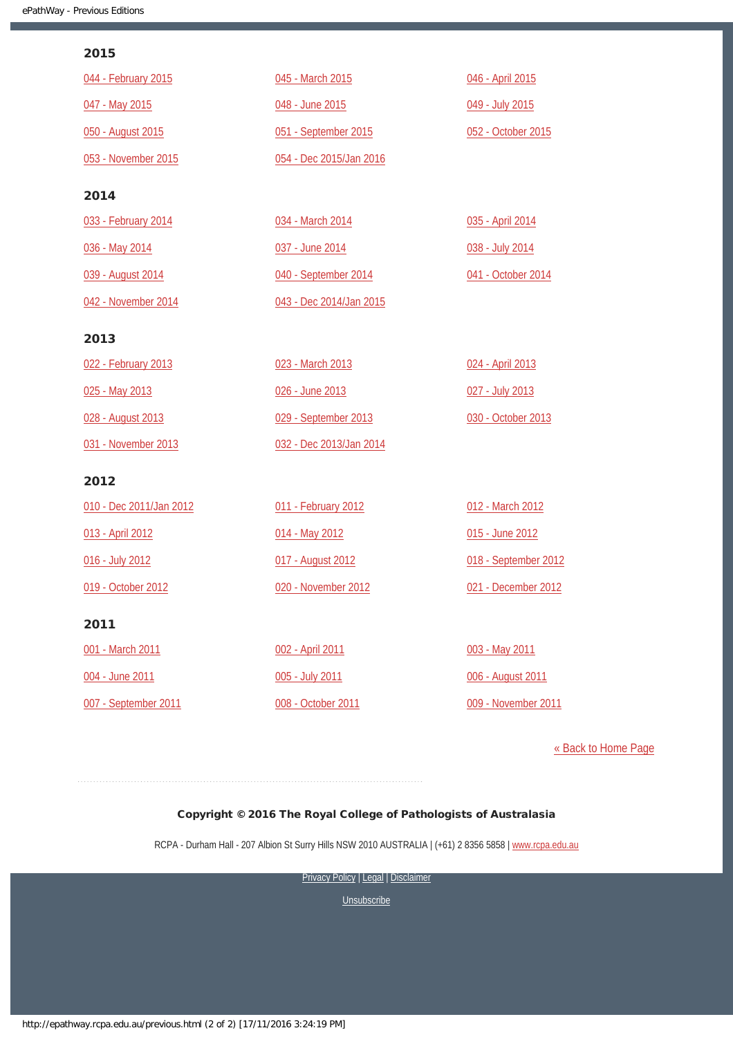### 2015

| 044 - February 2015     | 045 - March 2015        | 046 - April 2015     |
|-------------------------|-------------------------|----------------------|
| 047 - May 2015          | 048 - June 2015         | 049 - July 2015      |
| 050 - August 2015       | 051 - September 2015    | 052 - October 2015   |
| 053 - November 2015     | 054 - Dec 2015/Jan 2016 |                      |
| 2014                    |                         |                      |
| 033 - February 2014     | 034 - March 2014        | 035 - April 2014     |
| 036 - May 2014          | 037 - June 2014         | 038 - July 2014      |
| 039 - August 2014       | 040 - September 2014    | 041 - October 2014   |
| 042 - November 2014     | 043 - Dec 2014/Jan 2015 |                      |
| 2013                    |                         |                      |
| 022 - February 2013     | 023 - March 2013        | 024 - April 2013     |
| 025 - May 2013          | 026 - June 2013         | 027 - July 2013      |
| 028 - August 2013       | 029 - September 2013    | 030 - October 2013   |
| 031 - November 2013     | 032 - Dec 2013/Jan 2014 |                      |
| 2012                    |                         |                      |
| 010 - Dec 2011/Jan 2012 | 011 - February 2012     | 012 - March 2012     |
| 013 - April 2012        | 014 - May 2012          | 015 - June 2012      |
| 016 - July 2012         | 017 - August 2012       | 018 - September 2012 |
| 019 - October 2012      | 020 - November 2012     | 021 - December 2012  |
| 2011                    |                         |                      |
| 001 - March 2011        | 002 - April 2011        | 003 - May 2011       |
| 004 - June 2011         | 005 - July 2011         | 006 - August 2011    |
| 007 - September 2011    | 008 - October 2011      | 009 - November 2011  |

[« Back to Home Page](http://epathway.rcpa.edu.au/index.html)

### Copyright © 2016 The Royal College of Pathologists of Australasia

RCPA - Durham Hall - 207 Albion St Surry Hills NSW 2010 AUSTRALIA | (+61) 2 8356 5858 | [www.rcpa.edu.au](https://www.rcpa.edu.au/)

[Privacy Policy](https://www.rcpa.edu.au/Content-Library/Privacy.aspx) | [Legal](https://www.rcpa.edu.au/Legal.aspx) | Disclaimer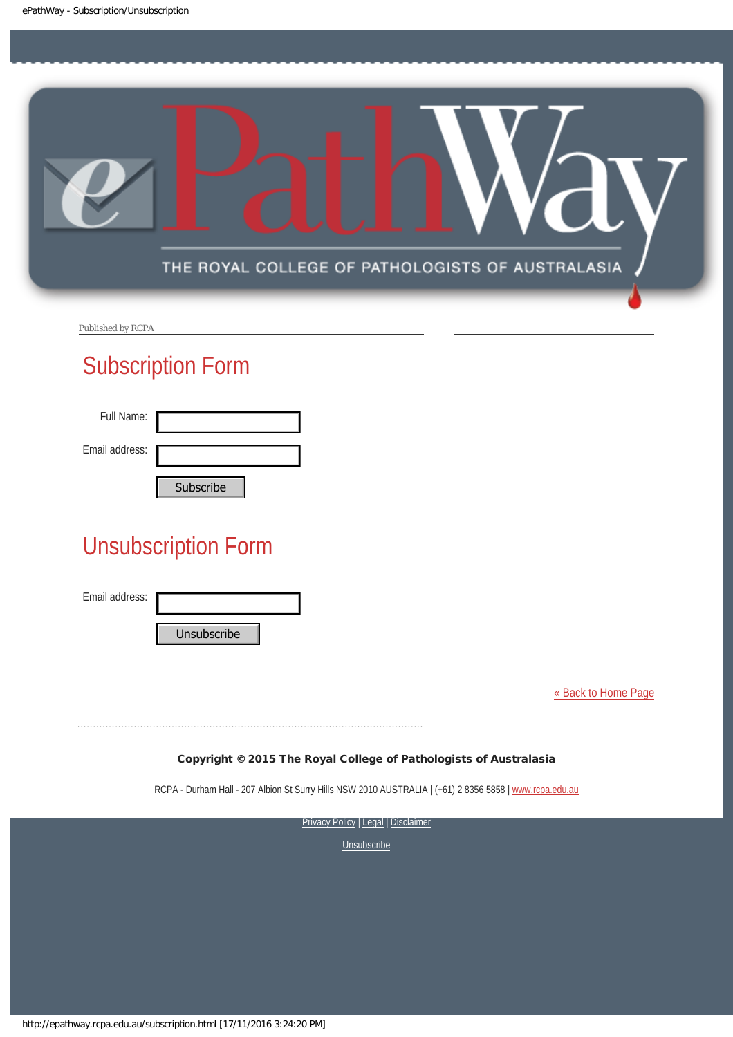<span id="page-7-0"></span>

Published by RCPA

# Subscription Form

| Full Name:     |           |
|----------------|-----------|
| Email address: |           |
|                | Cubccribo |

# Unsubscription Form Subscribe<br>
Unsubscription Form<br>
Email address:<br>
Unsubscribe<br>
Copyright © 2015 The Roy<br>
RCPA - Durham Hall - 207 Albion St Surry Hi<br>
STRRE<br>
Subscribe University Prices

Email address:

[« Back to Home Page](http://epathway.rcpa.edu.au/index.html)

### Copyright © 2015 The Royal College of Pathologists of Australasia

RCPA - Durham Hall - 207 Albion St Surry Hills NSW 2010 AUSTRALIA | (+61) 2 8356 5858 | [www.rcpa.edu.au](http://www.rcpa.edu.au/)

**[Privacy Policy](http://www.rcpa.edu.au/Content-Library/Privacy.aspx) | [Legal](http://www.rcpa.edu.au/Legal.aspx) | Disclaimer**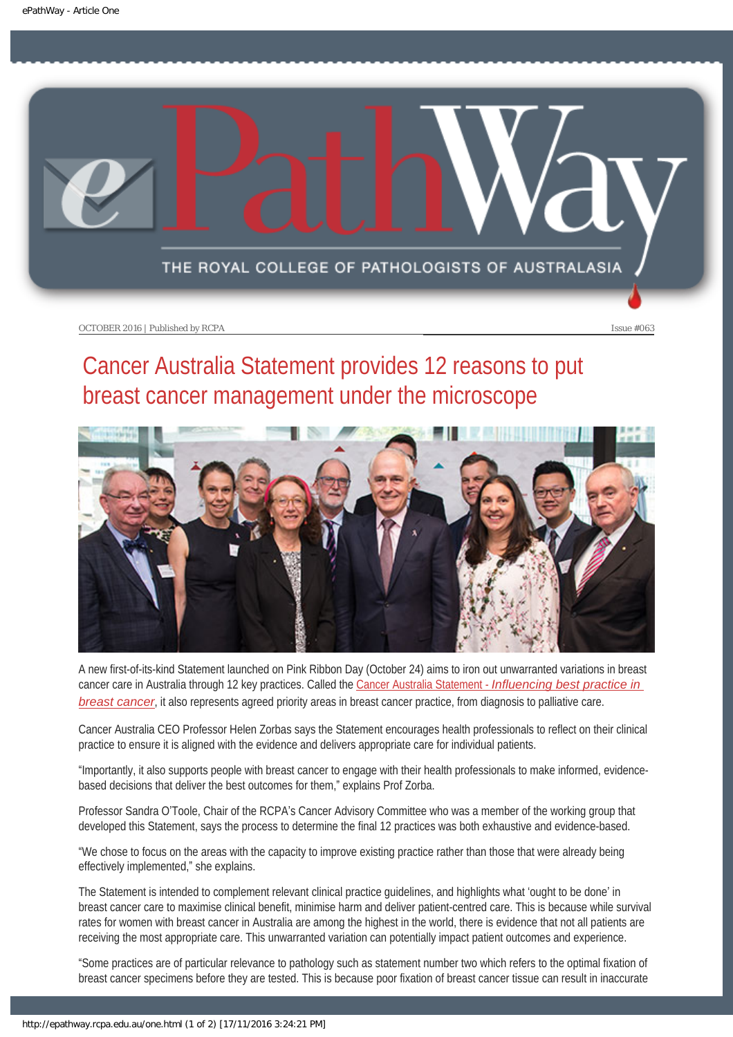<span id="page-8-0"></span>

# Cancer Australia Statement provides 12 reasons to put breast cancer management under the microscope



A new first-of-its-kind Statement launched on Pink Ribbon Day (October 24) aims to iron out unwarranted variations in breast cancer care in Australia through 12 key practices. Called the Cancer Australia Statement - *[Influencing best practice in](https://thestatement.canceraustralia.gov.au/)  [breast cancer](https://thestatement.canceraustralia.gov.au/)*, it also represents agreed priority areas in breast cancer practice, from diagnosis to palliative care.

Cancer Australia CEO Professor Helen Zorbas says the Statement encourages health professionals to reflect on their clinical practice to ensure it is aligned with the evidence and delivers appropriate care for individual patients.

"Importantly, it also supports people with breast cancer to engage with their health professionals to make informed, evidencebased decisions that deliver the best outcomes for them," explains Prof Zorba.

Professor Sandra O'Toole, Chair of the RCPA's Cancer Advisory Committee who was a member of the working group that developed this Statement, says the process to determine the final 12 practices was both exhaustive and evidence-based.

"We chose to focus on the areas with the capacity to improve existing practice rather than those that were already being effectively implemented," she explains.

The Statement is intended to complement relevant clinical practice guidelines, and highlights what 'ought to be done' in breast cancer care to maximise clinical benefit, minimise harm and deliver patient-centred care. This is because while survival rates for women with breast cancer in Australia are among the highest in the world, there is evidence that not all patients are receiving the most appropriate care. This unwarranted variation can potentially impact patient outcomes and experience.

"Some practices are of particular relevance to pathology such as statement number two which refers to the optimal fixation of breast cancer specimens before they are tested. This is because poor fixation of breast cancer tissue can result in inaccurate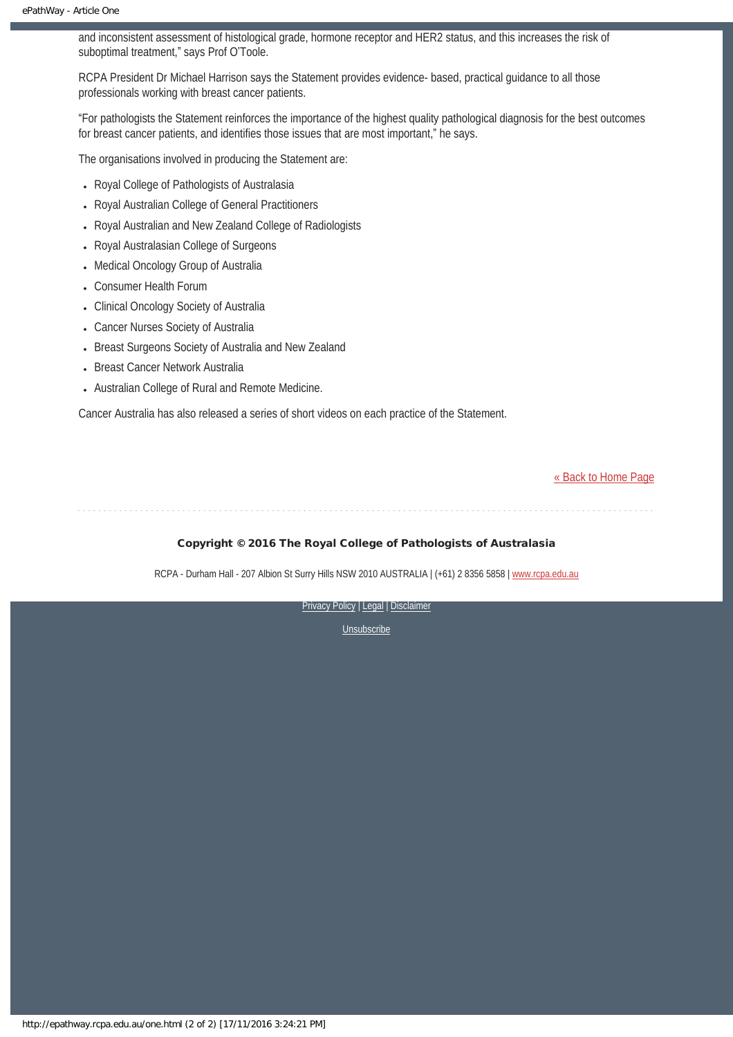and inconsistent assessment of histological grade, hormone receptor and HER2 status, and this increases the risk of suboptimal treatment," says Prof O'Toole.

RCPA President Dr Michael Harrison says the Statement provides evidence- based, practical guidance to all those professionals working with breast cancer patients.

"For pathologists the Statement reinforces the importance of the highest quality pathological diagnosis for the best outcomes for breast cancer patients, and identifies those issues that are most important," he says.

The organisations involved in producing the Statement are:

- Royal College of Pathologists of Australasia
- Royal Australian College of General Practitioners
- Royal Australian and New Zealand College of Radiologists
- Royal Australasian College of Surgeons
- Medical Oncology Group of Australia
- Consumer Health Forum
- Clinical Oncology Society of Australia
- Cancer Nurses Society of Australia
- Breast Surgeons Society of Australia and New Zealand
- Breast Cancer Network Australia
- Australian College of Rural and Remote Medicine.

Cancer Australia has also released a series of short videos on each practice of the Statement.

[« Back to Home Page](http://epathway.rcpa.edu.au/index.html)

### Copyright © 2016 The Royal College of Pathologists of Australasia

RCPA - Durham Hall - 207 Albion St Surry Hills NSW 2010 AUSTRALIA | (+61) 2 8356 5858 | [www.rcpa.edu.au](https://www.rcpa.edu.au/)

[Privacy Policy](https://www.rcpa.edu.au/Content-Library/Privacy.aspx) | [Legal](https://www.rcpa.edu.au/Legal.aspx) | Disclaimer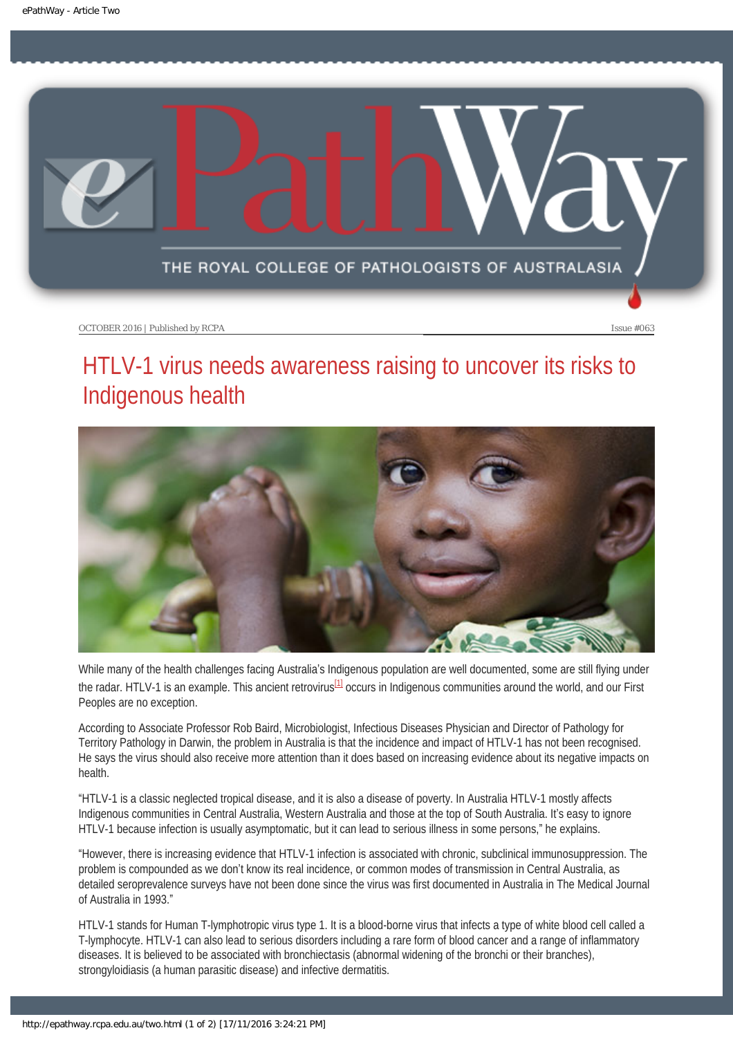<span id="page-10-0"></span>

# HTLV-1 virus needs awareness raising to uncover its risks to Indigenous health



<span id="page-10-1"></span>While many of the health challenges facing Australia's Indigenous population are well documented, some are still flying under the radar. HTLV-1 is an example. This ancient retrovirus $^{11}$  occurs in Indigenous communities around the world, and our First Peoples are no exception.

According to Associate Professor Rob Baird, Microbiologist, Infectious Diseases Physician and Director of Pathology for Territory Pathology in Darwin, the problem in Australia is that the incidence and impact of HTLV-1 has not been recognised. He says the virus should also receive more attention than it does based on increasing evidence about its negative impacts on health.

"HTLV-1 is a classic neglected tropical disease, and it is also a disease of poverty. In Australia HTLV-1 mostly affects Indigenous communities in Central Australia, Western Australia and those at the top of South Australia. It's easy to ignore HTLV-1 because infection is usually asymptomatic, but it can lead to serious illness in some persons," he explains.

"However, there is increasing evidence that HTLV-1 infection is associated with chronic, subclinical immunosuppression. The problem is compounded as we don't know its real incidence, or common modes of transmission in Central Australia, as detailed seroprevalence surveys have not been done since the virus was first documented in Australia in The Medical Journal of Australia in 1993."

HTLV-1 stands for Human T-lymphotropic virus type 1. It is a blood-borne virus that infects a type of white blood cell called a T-lymphocyte. HTLV-1 can also lead to serious disorders including a rare form of blood cancer and a range of inflammatory diseases. It is believed to be associated with bronchiectasis (abnormal widening of the bronchi or their branches), strongyloidiasis (a human parasitic disease) and infective dermatitis.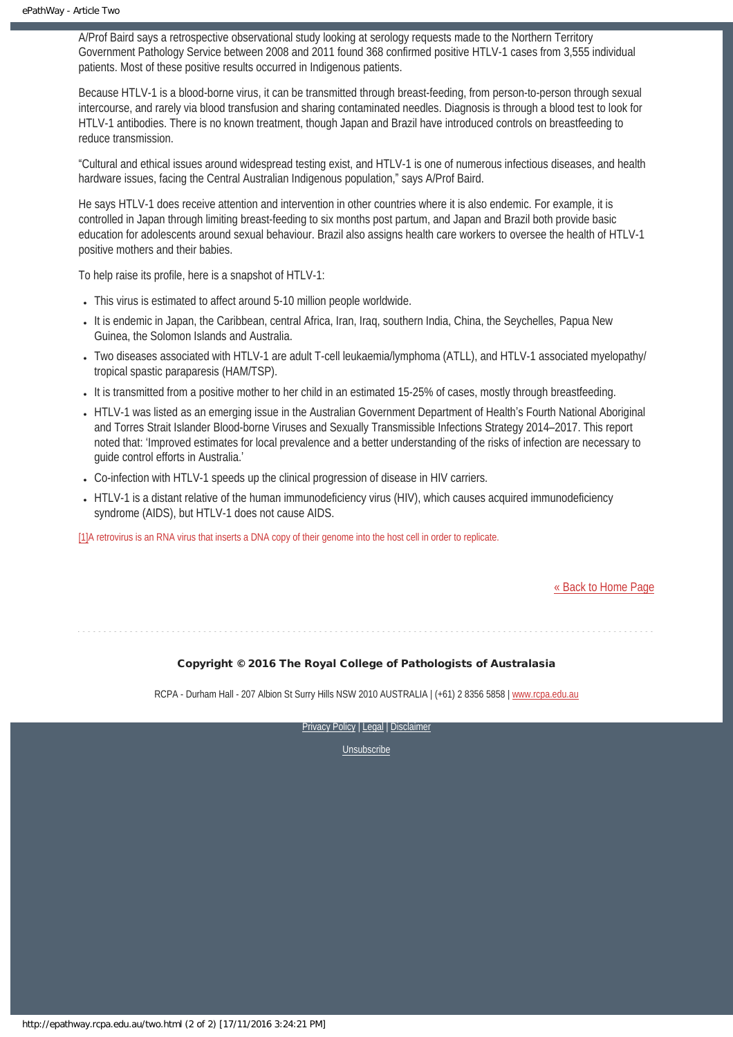A/Prof Baird says a retrospective observational study looking at serology requests made to the Northern Territory Government Pathology Service between 2008 and 2011 found 368 confirmed positive HTLV-1 cases from 3,555 individual patients. Most of these positive results occurred in Indigenous patients.

Because HTLV-1 is a blood-borne virus, it can be transmitted through breast-feeding, from person-to-person through sexual intercourse, and rarely via blood transfusion and sharing contaminated needles. Diagnosis is through a blood test to look for HTLV-1 antibodies. There is no known treatment, though Japan and Brazil have introduced controls on breastfeeding to reduce transmission.

"Cultural and ethical issues around widespread testing exist, and HTLV-1 is one of numerous infectious diseases, and health hardware issues, facing the Central Australian Indigenous population," says A/Prof Baird.

He says HTLV-1 does receive attention and intervention in other countries where it is also endemic. For example, it is controlled in Japan through limiting breast-feeding to six months post partum, and Japan and Brazil both provide basic education for adolescents around sexual behaviour. Brazil also assigns health care workers to oversee the health of HTLV-1 positive mothers and their babies.

To help raise its profile, here is a snapshot of HTLV-1:

- This virus is estimated to affect around 5-10 million people worldwide.
- It is endemic in Japan, the Caribbean, central Africa, Iran, Iraq, southern India, China, the Sevchelles, Papua New Guinea, the Solomon Islands and Australia.
- Two diseases associated with HTLV-1 are adult T-cell leukaemia/lymphoma (ATLL), and HTLV-1 associated myelopathy/ tropical spastic paraparesis (HAM/TSP).
- It is transmitted from a positive mother to her child in an estimated 15-25% of cases, mostly through breastfeeding.
- HTLV-1 was listed as an emerging issue in the Australian Government Department of Health's Fourth National Aboriginal and Torres Strait Islander Blood-borne Viruses and Sexually Transmissible Infections Strategy 2014–2017. This report noted that: 'Improved estimates for local prevalence and a better understanding of the risks of infection are necessary to guide control efforts in Australia.'
- Co-infection with HTLV-1 speeds up the clinical progression of disease in HIV carriers.
- HTLV-1 is a distant relative of the human immunodeficiency virus (HIV), which causes acquired immunodeficiency syndrome (AIDS), but HTLV-1 does not cause AIDS.

<span id="page-11-0"></span>[\[1\]A](#page-10-1) retrovirus is an RNA virus that inserts a DNA copy of their genome into the host cell in order to replicate.

[« Back to Home Page](http://epathway.rcpa.edu.au/index.html)

### Copyright © 2016 The Royal College of Pathologists of Australasia

RCPA - Durham Hall - 207 Albion St Surry Hills NSW 2010 AUSTRALIA | (+61) 2 8356 5858 | [www.rcpa.edu.au](https://www.rcpa.edu.au/)

[Privacy Policy](https://www.rcpa.edu.au/Content-Library/Privacy.aspx) | [Legal](https://www.rcpa.edu.au/Legal.aspx) | Disclaimer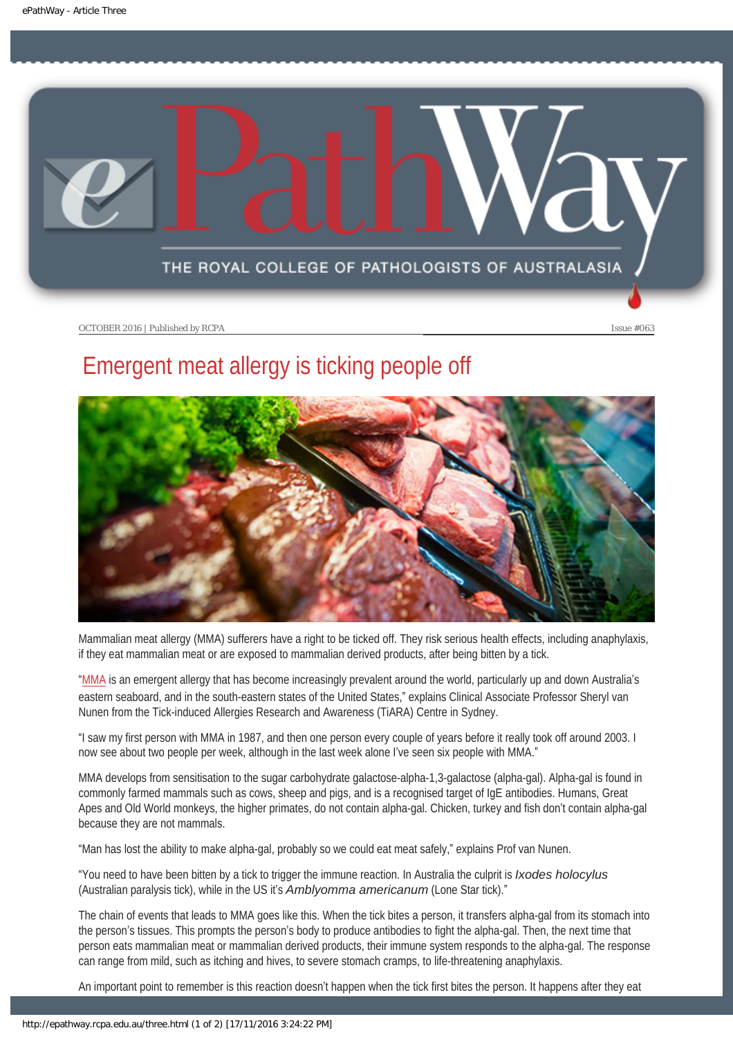<span id="page-12-0"></span>

# Emergent meat allergy is ticking people off



Mammalian meat allergy (MMA) sufferers have a right to be ticked off. They risk serious health effects, including anaphylaxis, if they eat mammalian meat or are exposed to mammalian derived products, after being bitten by a tick.

"[MMA](https://www.ncbi.nlm.nih.gov/pmc/articles/PMC4313755/) is an emergent allergy that has become increasingly prevalent around the world, particularly up and down Australia's eastern seaboard, and in the south-eastern states of the United States," explains Clinical Associate Professor Sheryl van Nunen from the Tick-induced Allergies Research and Awareness (TiARA) Centre in Sydney.

"I saw my first person with MMA in 1987, and then one person every couple of years before it really took off around 2003. I now see about two people per week, although in the last week alone I've seen six people with MMA."

MMA develops from sensitisation to the sugar carbohydrate galactose-alpha-1,3-galactose (alpha-gal). Alpha-gal is found in commonly farmed mammals such as cows, sheep and pigs, and is a recognised target of IgE antibodies. Humans, Great Apes and Old World monkeys, the higher primates, do not contain alpha-gal. Chicken, turkey and fish don't contain alpha-gal because they are not mammals.

"Man has lost the ability to make alpha-gal, probably so we could eat meat safely," explains Prof van Nunen.

"You need to have been bitten by a tick to trigger the immune reaction. In Australia the culprit is *Ixodes holocylus* (Australian paralysis tick), while in the US it's *Amblyomma americanum* (Lone Star tick)."

The chain of events that leads to MMA goes like this. When the tick bites a person, it transfers alpha-gal from its stomach into the person's tissues. This prompts the person's body to produce antibodies to fight the alpha-gal. Then, the next time that person eats mammalian meat or mammalian derived products, their immune system responds to the alpha-gal. The response can range from mild, such as itching and hives, to severe stomach cramps, to life-threatening anaphylaxis.

An important point to remember is this reaction doesn't happen when the tick first bites the person. It happens after they eat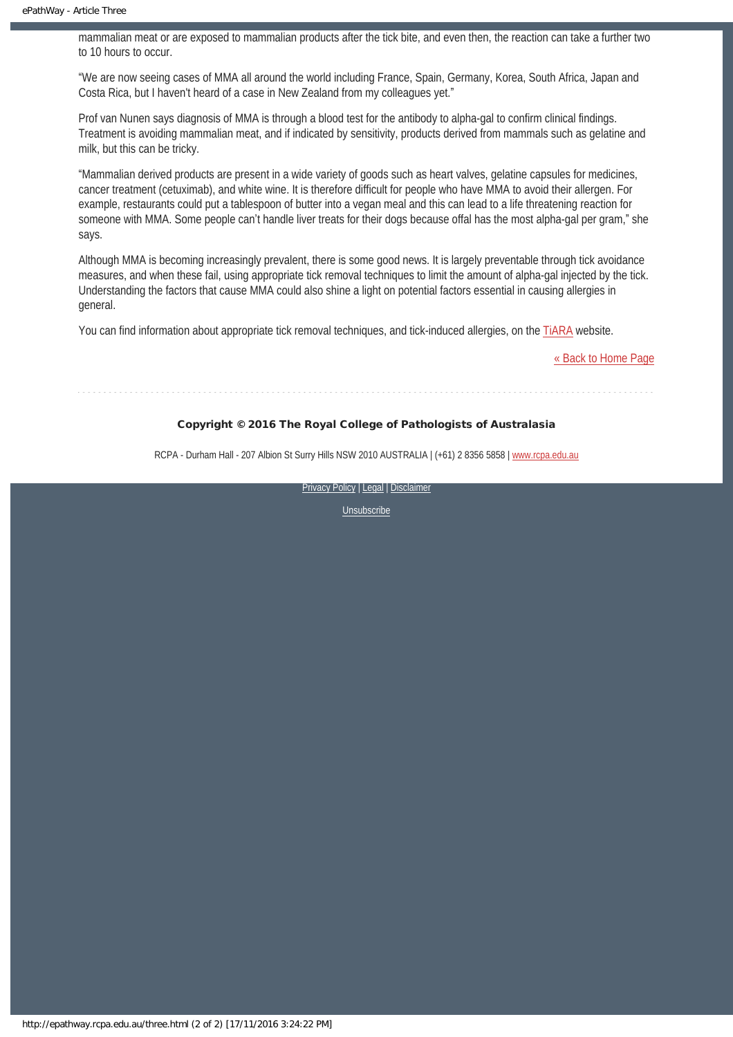mammalian meat or are exposed to mammalian products after the tick bite, and even then, the reaction can take a further two to 10 hours to occur.

"We are now seeing cases of MMA all around the world including France, Spain, Germany, Korea, South Africa, Japan and Costa Rica, but I haven't heard of a case in New Zealand from my colleagues yet."

Prof van Nunen says diagnosis of MMA is through a blood test for the antibody to alpha-gal to confirm clinical findings. Treatment is avoiding mammalian meat, and if indicated by sensitivity, products derived from mammals such as gelatine and milk, but this can be tricky.

"Mammalian derived products are present in a wide variety of goods such as heart valves, gelatine capsules for medicines, cancer treatment (cetuximab), and white wine. It is therefore difficult for people who have MMA to avoid their allergen. For example, restaurants could put a tablespoon of butter into a vegan meal and this can lead to a life threatening reaction for someone with MMA. Some people can't handle liver treats for their dogs because offal has the most alpha-gal per gram," she says.

Although MMA is becoming increasingly prevalent, there is some good news. It is largely preventable through tick avoidance measures, and when these fail, using appropriate tick removal techniques to limit the amount of alpha-gal injected by the tick. Understanding the factors that cause MMA could also shine a light on potential factors essential in causing allergies in general.

You can find information about appropriate tick removal techniques, and tick-induced allergies, on the [TiARA](http://www.tiara.org.au/) website.

[« Back to Home Page](http://epathway.rcpa.edu.au/index.html)

### Copyright © 2016 The Royal College of Pathologists of Australasia

RCPA - Durham Hall - 207 Albion St Surry Hills NSW 2010 AUSTRALIA | (+61) 2 8356 5858 | [www.rcpa.edu.au](https://www.rcpa.edu.au/)

[Privacy Policy](https://www.rcpa.edu.au/Content-Library/Privacy.aspx) | [Legal](https://www.rcpa.edu.au/Legal.aspx) | Disclaimer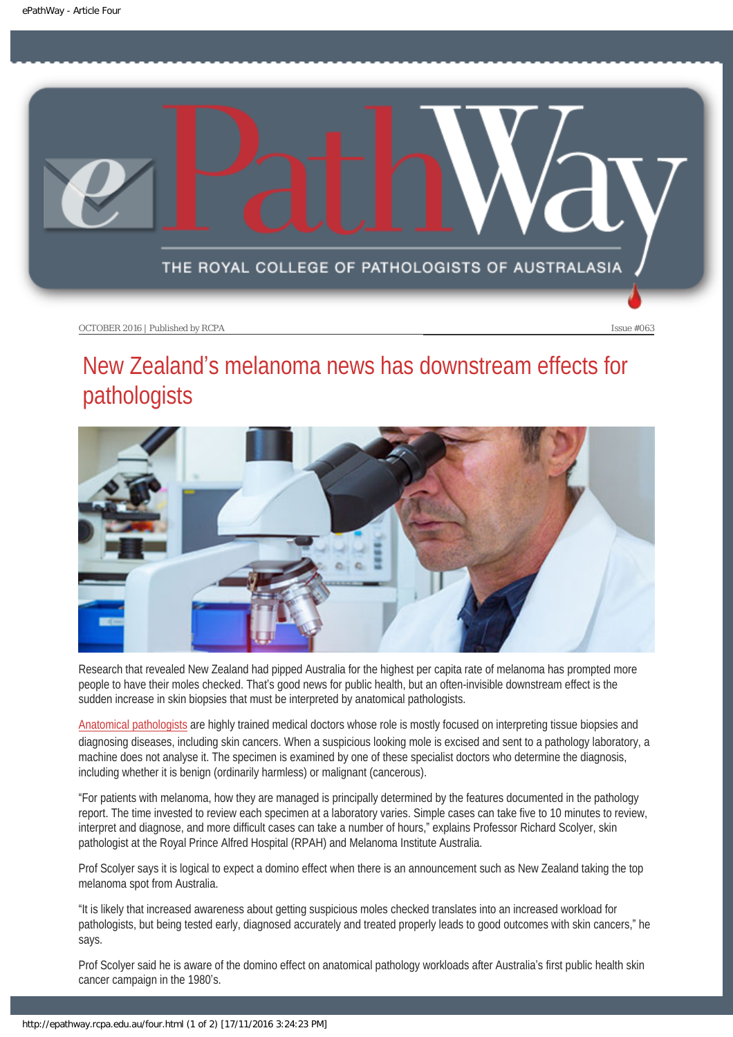<span id="page-14-0"></span>

# New Zealand's melanoma news has downstream effects for pathologists



Research that revealed New Zealand had pipped Australia for the highest per capita rate of melanoma has prompted more people to have their moles checked. That's good news for public health, but an often-invisible downstream effect is the sudden increase in skin biopsies that must be interpreted by anatomical pathologists.

[Anatomical pathologists](https://www.rcpa.edu.au/getattachment/3dc2ebcb-4398-4e77-8aa2-74ef29f02fc4/Day-In-The-Life-Anatomical-Pathology.aspx) are highly trained medical doctors whose role is mostly focused on interpreting tissue biopsies and diagnosing diseases, including skin cancers. When a suspicious looking mole is excised and sent to a pathology laboratory, a machine does not analyse it. The specimen is examined by one of these specialist doctors who determine the diagnosis, including whether it is benign (ordinarily harmless) or malignant (cancerous).

"For patients with melanoma, how they are managed is principally determined by the features documented in the pathology report. The time invested to review each specimen at a laboratory varies. Simple cases can take five to 10 minutes to review, interpret and diagnose, and more difficult cases can take a number of hours," explains Professor Richard Scolyer, skin pathologist at the Royal Prince Alfred Hospital (RPAH) and Melanoma Institute Australia.

Prof Scolyer says it is logical to expect a domino effect when there is an announcement such as New Zealand taking the top melanoma spot from Australia.

"It is likely that increased awareness about getting suspicious moles checked translates into an increased workload for pathologists, but being tested early, diagnosed accurately and treated properly leads to good outcomes with skin cancers," he says.

Prof Scolyer said he is aware of the domino effect on anatomical pathology workloads after Australia's first public health skin cancer campaign in the 1980's.